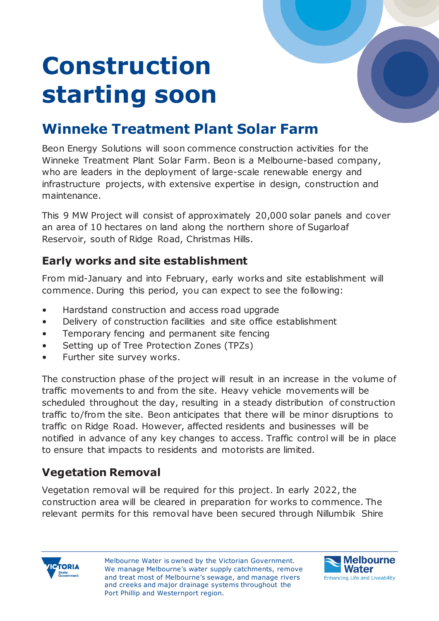# **Construction starting soon**

## **Winneke Treatment Plant Solar Farm**

Beon Energy Solutions will soon commence construction activities for the Winneke Treatment Plant Solar Farm. Beon is a Melbourne-based company, who are leaders in the deployment of large-scale renewable energy and infrastructure projects, with extensive expertise in design, construction and maintenance.

This 9 MW Project will consist of approximately 20,000 solar panels and cover an area of 10 hectares on land along the northern shore of Sugarloaf Reservoir, south of Ridge Road, Christmas Hills.

### **Early works and site establishment**

From mid-January and into February, early works and site establishment will commence. During this period, you can expect to see the following:

- Hardstand construction and access road upgrade
- Delivery of construction facilities and site office establishment
- Temporary fencing and permanent site fencing
- Setting up of Tree Protection Zones (TPZs)
- Further site survey works.

The construction phase of the project will result in an increase in the volume of traffic movements to and from the site. Heavy vehicle movements will be scheduled throughout the day, resulting in a steady distribution of construction traffic to/from the site. Beon anticipates that there will be minor disruptions to traffic on Ridge Road. However, affected residents and businesses will be notified in advance of any key changes to access. Traffic control will be in place to ensure that impacts to residents and motorists are limited.

### **Vegetation Removal**

Vegetation removal will be required for this project. In early 2022, the construction area will be cleared in preparation for works to commence. The relevant permits for this removal have been secured through Nillumbik Shire